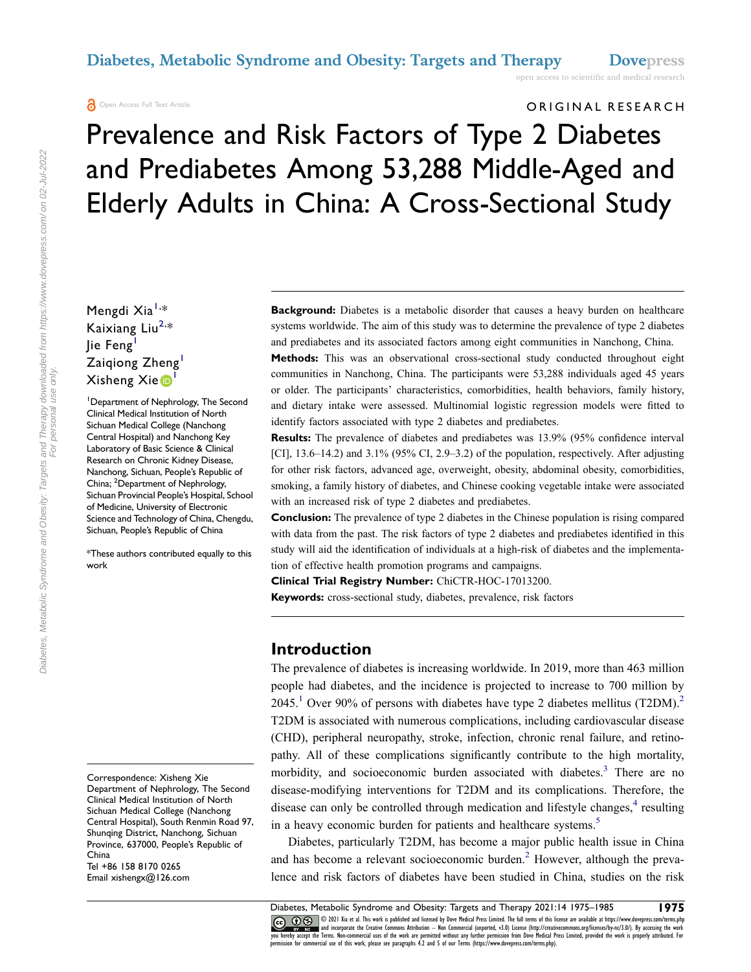#### **A** Open Access Full Text Article

#### ORIGINAL RESEARCH

# Prevalence and Risk Factors of Type 2 Diabetes and Prediabetes Among 53,288 Middle-Aged and Elderly Adults in China: A Cross-Sectional Study

Mengdi Xia<sup>[1,](#page-0-0)</sup>\* Kaixiang Liu<sup>[2](#page-0-1),\*</sup> lie Feng Zaiqiong Zheng<sup>[1](#page-0-0)</sup> Xisheng Xie <sup>[1](#page-0-0)</sup>

<span id="page-0-0"></span>1 Department of Nephrology, The Second Clinical Medical Institution of North Sichuan Medical College (Nanchong Central Hospital) and Nanchong Key Laboratory of Basic Science & Clinical Research on Chronic Kidney Disease, Nanchong, Sichuan, People's Republic of China; <sup>2</sup>Department of Nephrology, Sichuan Provincial People's Hospital, School of Medicine, University of Electronic Science and Technology of China, Chengdu, Sichuan, People's Republic of China

<span id="page-0-1"></span>\*These authors contributed equally to this work

**Background:** Diabetes is a metabolic disorder that causes a heavy burden on healthcare systems worldwide. The aim of this study was to determine the prevalence of type 2 diabetes and prediabetes and its associated factors among eight communities in Nanchong, China.

**Methods:** This was an observational cross-sectional study conducted throughout eight communities in Nanchong, China. The participants were 53,288 individuals aged 45 years or older. The participants' characteristics, comorbidities, health behaviors, family history, and dietary intake were assessed. Multinomial logistic regression models were fitted to identify factors associated with type 2 diabetes and prediabetes.

**Results:** The prevalence of diabetes and prediabetes was 13.9% (95% confidence interval [CI], 13.6–14.2) and 3.1% (95% CI, 2.9–3.2) of the population, respectively. After adjusting for other risk factors, advanced age, overweight, obesity, abdominal obesity, comorbidities, smoking, a family history of diabetes, and Chinese cooking vegetable intake were associated with an increased risk of type 2 diabetes and prediabetes.

**Conclusion:** The prevalence of type 2 diabetes in the Chinese population is rising compared with data from the past. The risk factors of type 2 diabetes and prediabetes identified in this study will aid the identification of individuals at a high-risk of diabetes and the implementation of effective health promotion programs and campaigns.

**Clinical Trial Registry Number:** ChiCTR-HOC-17013200.

**Keywords:** cross-sectional study, diabetes, prevalence, risk factors

#### **Introduction**

<span id="page-0-2"></span>The prevalence of diabetes is increasing worldwide. In 2019, more than 463 million people had diabetes, and the incidence is projected to increase to 700 million by 2045.<sup>[1](#page-9-0)</sup> Over 90% of persons with diabetes have type 2 diabetes mellitus (T2DM).<sup>2</sup> T2DM is associated with numerous complications, including cardiovascular disease (CHD), peripheral neuropathy, stroke, infection, chronic renal failure, and retinopathy. All of these complications significantly contribute to the high mortality, morbidity, and socioeconomic burden associated with diabetes.<sup>3</sup> There are no disease-modifying interventions for T2DM and its complications. Therefore, the disease can only be controlled through medication and lifestyle changes,<sup>4</sup> resulting in a heavy economic burden for patients and healthcare systems.<sup>[5](#page-9-4)</sup>

<span id="page-0-6"></span><span id="page-0-5"></span><span id="page-0-4"></span><span id="page-0-3"></span>Diabetes, particularly T2DM, has become a major public health issue in China and has become a relevant socioeconomic burden.<sup>[2](#page-9-1)</sup> However, although the prevalence and risk factors of diabetes have been studied in China, studies on the risk

CO OD SO 2021 Xia et al. This work is published and licensed by Dove Medical Press Limited. The full terms of this license are available at https://www.dovepress.com/terms.php<br>you hereby accept the Terms. Non-commercial us

Correspondence: Xisheng Xie Department of Nephrology, The Second Clinical Medical Institution of North Sichuan Medical College (Nanchong Central Hospital), South Renmin Road 97, Shunqing District, Nanchong, Sichuan Province, 637000, People's Republic of China Tel +86 158 8170 0265 Email [xishengx@126.com](mailto:xishengx@126.com)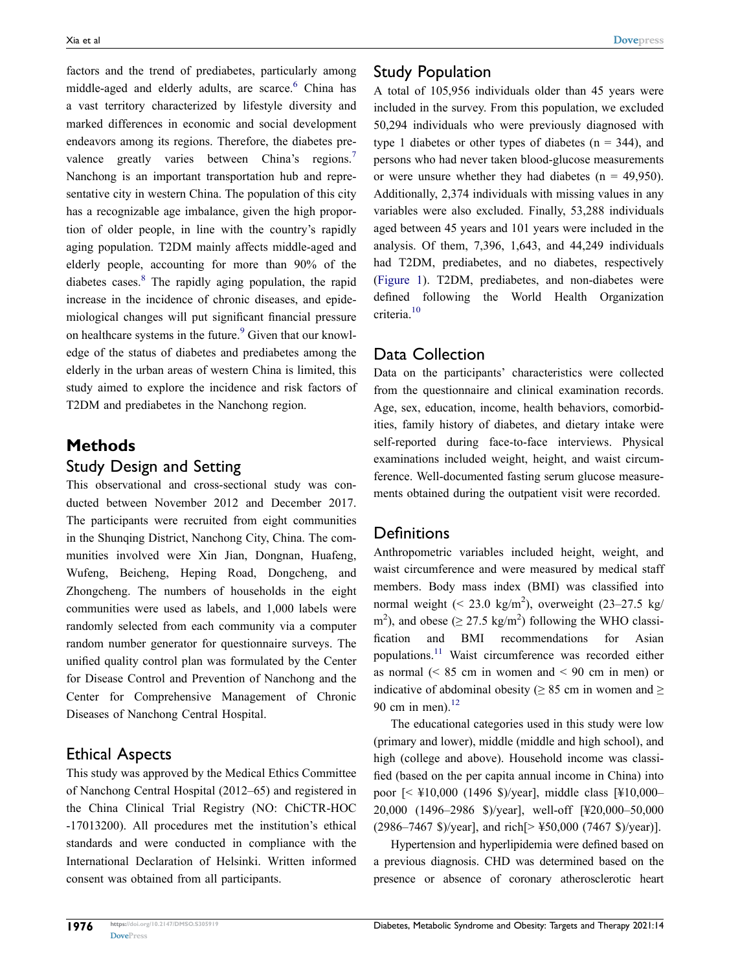<span id="page-1-1"></span><span id="page-1-0"></span>factors and the trend of prediabetes, particularly among middle-aged and elderly adults, are scarce.<sup>6</sup> China has a vast territory characterized by lifestyle diversity and marked differences in economic and social development endeavors among its regions. Therefore, the diabetes prevalence greatly varies between China's regions.<sup>7</sup> Nanchong is an important transportation hub and representative city in western China. The population of this city has a recognizable age imbalance, given the high proportion of older people, in line with the country's rapidly aging population. T2DM mainly affects middle-aged and elderly people, accounting for more than 90% of the diabetes cases.<sup>8</sup> The rapidly aging population, the rapid increase in the incidence of chronic diseases, and epidemiological changes will put significant financial pressure on healthcare systems in the future.<sup>9</sup> Given that our knowledge of the status of diabetes and prediabetes among the elderly in the urban areas of western China is limited, this study aimed to explore the incidence and risk factors of T2DM and prediabetes in the Nanchong region.

# <span id="page-1-3"></span><span id="page-1-2"></span>**Methods**

#### Study Design and Setting

This observational and cross-sectional study was conducted between November 2012 and December 2017. The participants were recruited from eight communities in the Shunqing District, Nanchong City, China. The communities involved were Xin Jian, Dongnan, Huafeng, Wufeng, Beicheng, Heping Road, Dongcheng, and Zhongcheng. The numbers of households in the eight communities were used as labels, and 1,000 labels were randomly selected from each community via a computer random number generator for questionnaire surveys. The unified quality control plan was formulated by the Center for Disease Control and Prevention of Nanchong and the Center for Comprehensive Management of Chronic Diseases of Nanchong Central Hospital.

# Ethical Aspects

This study was approved by the Medical Ethics Committee of Nanchong Central Hospital (2012–65) and registered in the China Clinical Trial Registry (NO: ChiCTR-HOC -17013200). All procedures met the institution's ethical standards and were conducted in compliance with the International Declaration of Helsinki. Written informed consent was obtained from all participants.

# Study Population

A total of 105,956 individuals older than 45 years were included in the survey. From this population, we excluded 50,294 individuals who were previously diagnosed with type 1 diabetes or other types of diabetes ( $n = 344$ ), and persons who had never taken blood-glucose measurements or were unsure whether they had diabetes ( $n = 49,950$ ). Additionally, 2,374 individuals with missing values in any variables were also excluded. Finally, 53,288 individuals aged between 45 years and 101 years were included in the analysis. Of them, 7,396, 1,643, and 44,249 individuals had T2DM, prediabetes, and no diabetes, respectively [\(Figure 1\)](#page-2-0). T2DM, prediabetes, and non-diabetes were defined following the World Health Organization criteria.[10](#page-9-9)

# <span id="page-1-4"></span>Data Collection

Data on the participants' characteristics were collected from the questionnaire and clinical examination records. Age, sex, education, income, health behaviors, comorbidities, family history of diabetes, and dietary intake were self-reported during face-to-face interviews. Physical examinations included weight, height, and waist circumference. Well-documented fasting serum glucose measurements obtained during the outpatient visit were recorded.

# **Definitions**

Anthropometric variables included height, weight, and waist circumference and were measured by medical staff members. Body mass index (BMI) was classified into normal weight  $( $23.0 \text{ kg/m}^2$ ), overweight  $(23-27.5 \text{ kg}/$$ m<sup>2</sup>), and obese ( $\geq$  27.5 kg/m<sup>2</sup>) following the WHO classification and BMI recommendations for Asian populations.[11](#page-9-10) Waist circumference was recorded either as normal  $\approx 85$  cm in women and  $\leq 90$  cm in men) or indicative of abdominal obesity ( $\geq 85$  cm in women and  $\geq$ 90 cm in men). $^{12}$  $^{12}$  $^{12}$ 

<span id="page-1-6"></span><span id="page-1-5"></span>The educational categories used in this study were low (primary and lower), middle (middle and high school), and high (college and above). Household income was classified (based on the per capita annual income in China) into poor [< ¥10,000 (1496 \$)/year], middle class [¥10,000– 20,000 (1496–2986 \$)/year], well-off [¥20,000–50,000 (2986–7467 \$)/year], and rich[> ¥50,000 (7467 \$)/year)].

Hypertension and hyperlipidemia were defined based on a previous diagnosis. CHD was determined based on the presence or absence of coronary atherosclerotic heart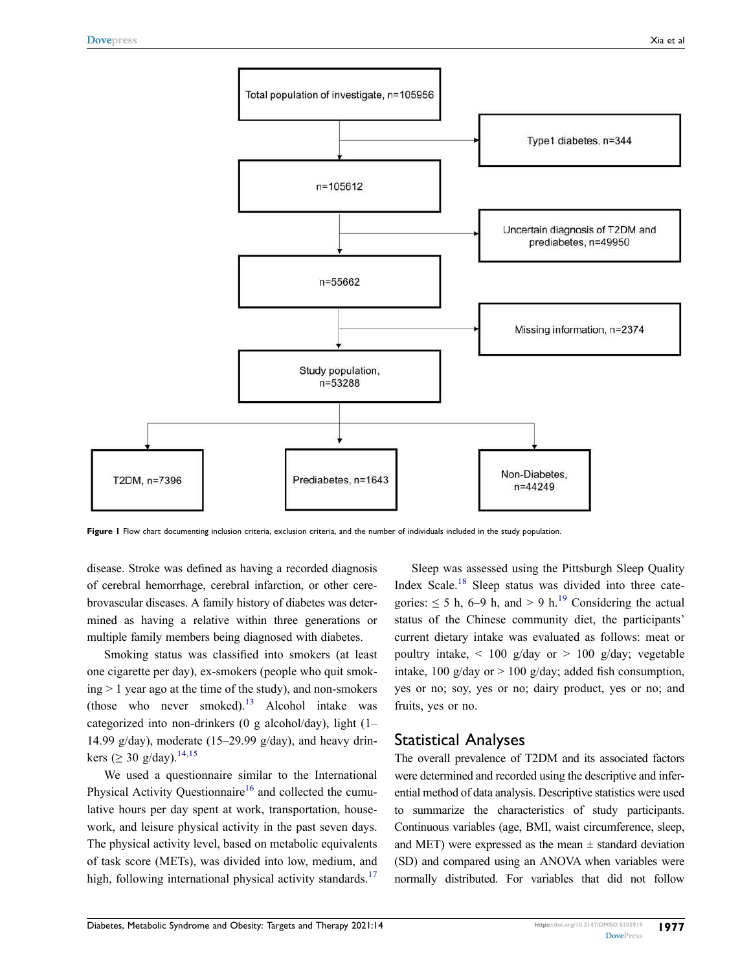<span id="page-2-0"></span>

Figure 1 Flow chart documenting inclusion criteria, exclusion criteria, and the number of individuals included in the study population.

disease. Stroke was defined as having a recorded diagnosis of cerebral hemorrhage, cerebral infarction, or other cerebrovascular diseases. A family history of diabetes was determined as having a relative within three generations or multiple family members being diagnosed with diabetes.

<span id="page-2-1"></span>Smoking status was classified into smokers (at least one cigarette per day), ex-smokers (people who quit smoking > 1 year ago at the time of the study), and non-smokers (those who never smoked). $13$  Alcohol intake was categorized into non-drinkers (0 g alcohol/day), light (1– 14.99 g/day), moderate (15–29.99 g/day), and heavy drin-kers (> 30 g/day).<sup>[14,](#page-9-13)[15](#page-9-14)</sup>

<span id="page-2-4"></span><span id="page-2-3"></span><span id="page-2-2"></span>We used a questionnaire similar to the International Physical Activity Questionnaire<sup>[16](#page-9-15)</sup> and collected the cumulative hours per day spent at work, transportation, housework, and leisure physical activity in the past seven days. The physical activity level, based on metabolic equivalents of task score (METs), was divided into low, medium, and high, following international physical activity standards.<sup>17</sup>

<span id="page-2-6"></span><span id="page-2-5"></span>Sleep was assessed using the Pittsburgh Sleep Quality Index Scale.<sup>18</sup> Sleep status was divided into three categories:  $\leq$  5 h, 6–9 h, and > 9 h.<sup>[19](#page-9-18)</sup> Considering the actual status of the Chinese community diet, the participants' current dietary intake was evaluated as follows: meat or poultry intake,  $\langle 100 \text{ g/day} \rangle$  or  $> 100 \text{ g/day}$ ; vegetable intake, 100 g/day or  $> 100$  g/day; added fish consumption, yes or no; soy, yes or no; dairy product, yes or no; and fruits, yes or no.

#### Statistical Analyses

The overall prevalence of T2DM and its associated factors were determined and recorded using the descriptive and inferential method of data analysis. Descriptive statistics were used to summarize the characteristics of study participants. Continuous variables (age, BMI, waist circumference, sleep, and MET) were expressed as the mean  $\pm$  standard deviation (SD) and compared using an ANOVA when variables were normally distributed. For variables that did not follow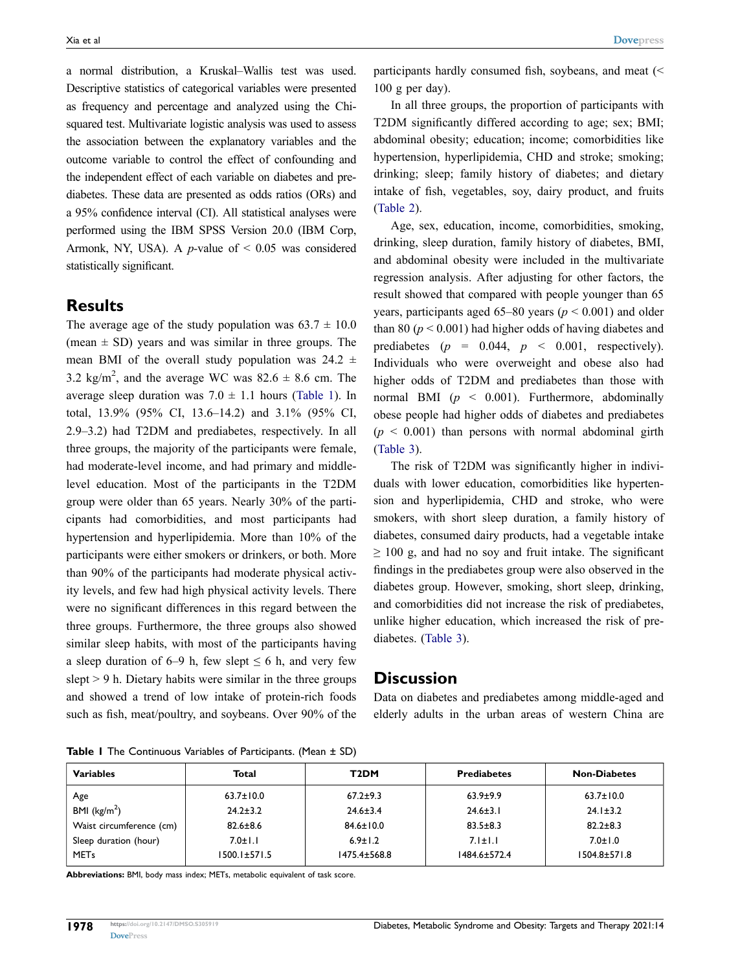a normal distribution, a Kruskal–Wallis test was used. Descriptive statistics of categorical variables were presented as frequency and percentage and analyzed using the Chisquared test. Multivariate logistic analysis was used to assess the association between the explanatory variables and the outcome variable to control the effect of confounding and the independent effect of each variable on diabetes and prediabetes. These data are presented as odds ratios (ORs) and a 95% confidence interval (CI). All statistical analyses were performed using the IBM SPSS Version 20.0 (IBM Corp, Armonk, NY, USA). A *p-*value of < 0.05 was considered statistically significant.

#### **Results**

The average age of the study population was  $63.7 \pm 10.0$ (mean  $\pm$  SD) years and was similar in three groups. The mean BMI of the overall study population was  $24.2 \pm$ 3.2 kg/m<sup>2</sup>, and the average WC was  $82.6 \pm 8.6$  cm. The average sleep duration was  $7.0 \pm 1.1$  hours ([Table 1\)](#page-3-0). In total, 13.9% (95% CI, 13.6–14.2) and 3.1% (95% CI, 2.9–3.2) had T2DM and prediabetes, respectively. In all three groups, the majority of the participants were female, had moderate-level income, and had primary and middlelevel education. Most of the participants in the T2DM group were older than 65 years. Nearly 30% of the participants had comorbidities, and most participants had hypertension and hyperlipidemia. More than 10% of the participants were either smokers or drinkers, or both. More than 90% of the participants had moderate physical activity levels, and few had high physical activity levels. There were no significant differences in this regard between the three groups. Furthermore, the three groups also showed similar sleep habits, with most of the participants having a sleep duration of 6–9 h, few slept  $\leq$  6 h, and very few slept  $> 9$  h. Dietary habits were similar in the three groups and showed a trend of low intake of protein-rich foods such as fish, meat/poultry, and soybeans. Over 90% of the

participants hardly consumed fish, soybeans, and meat (< 100 g per day).

In all three groups, the proportion of participants with T2DM significantly differed according to age; sex; BMI; abdominal obesity; education; income; comorbidities like hypertension, hyperlipidemia, CHD and stroke; smoking; drinking; sleep; family history of diabetes; and dietary intake of fish, vegetables, soy, dairy product, and fruits [\(Table 2](#page-4-0)).

Age, sex, education, income, comorbidities, smoking, drinking, sleep duration, family history of diabetes, BMI, and abdominal obesity were included in the multivariate regression analysis. After adjusting for other factors, the result showed that compared with people younger than 65 years, participants aged  $65-80$  years ( $p < 0.001$ ) and older than 80 ( $p < 0.001$ ) had higher odds of having diabetes and prediabetes  $(p = 0.044, p < 0.001,$  respectively). Individuals who were overweight and obese also had higher odds of T2DM and prediabetes than those with normal BMI (*p* < 0.001). Furthermore, abdominally obese people had higher odds of diabetes and prediabetes  $(p < 0.001)$  than persons with normal abdominal girth [\(Table 3](#page-6-0)).

The risk of T2DM was significantly higher in individuals with lower education, comorbidities like hypertension and hyperlipidemia, CHD and stroke, who were smokers, with short sleep duration, a family history of diabetes, consumed dairy products, had a vegetable intake  $\geq 100$  g, and had no soy and fruit intake. The significant findings in the prediabetes group were also observed in the diabetes group. However, smoking, short sleep, drinking, and comorbidities did not increase the risk of prediabetes, unlike higher education, which increased the risk of prediabetes. ([Table 3](#page-6-0)).

#### **Discussion**

Data on diabetes and prediabetes among middle-aged and elderly adults in the urban areas of western China are

| <b>Variables</b>         | Total              | T2DM               | <b>Prediabetes</b> | <b>Non-Diabetes</b> |
|--------------------------|--------------------|--------------------|--------------------|---------------------|
| Age                      | $63.7 \pm 10.0$    | $67.2 \pm 9.3$     | $63.9 + 9.9$       | $63.7 \pm 10.0$     |
| BMI ( $\text{kg/m}^2$ )  | $24.2 \pm 3.2$     | $24.6 \pm 3.4$     | $24.6 \pm 3.1$     | $24.1 \pm 3.2$      |
| Waist circumference (cm) | $82.6 \pm 8.6$     | $84.6 \pm 10.0$    | $83.5 \pm 8.3$     | $82.2 \pm 8.3$      |
| Sleep duration (hour)    | $7.0 \pm 1.1$      | $6.9 \pm 1.2$      | $7.1 \pm 1.1$      | $7.0 \pm 1.0$       |
| <b>MET<sub>s</sub></b>   | $1500.1 \pm 571.5$ | $1475.4 \pm 568.8$ | 1484.6±572.4       | $1504.8 \pm 571.8$  |

<span id="page-3-0"></span>**Table 1** The Continuous Variables of Participants. (Mean  $\pm$  SD)

**Abbreviations:** BMI, body mass index; METs, metabolic equivalent of task score.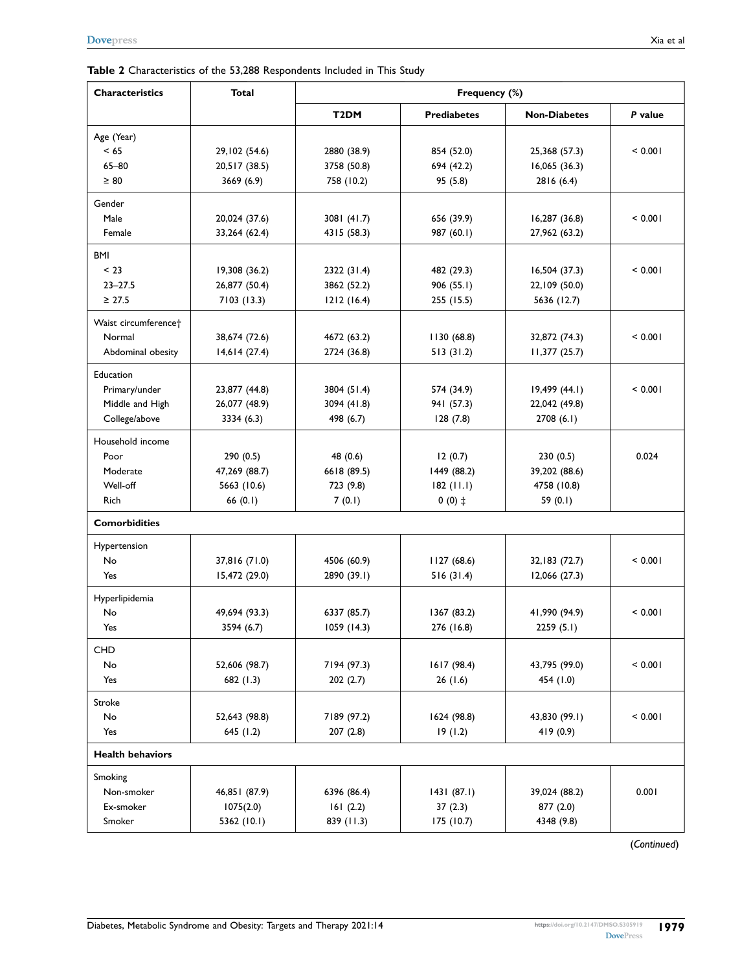<span id="page-4-0"></span>

| <b>Characteristics</b>           | <b>Total</b>  | Frequency (%)     |                            |                     |         |  |
|----------------------------------|---------------|-------------------|----------------------------|---------------------|---------|--|
|                                  |               | T <sub>2</sub> DM | <b>Prediabetes</b>         | <b>Non-Diabetes</b> | P value |  |
| Age (Year)                       |               |                   |                            |                     |         |  |
| $<$ 65                           | 29,102 (54.6) | 2880 (38.9)       | 854 (52.0)                 | 25,368 (57.3)       | < 0.001 |  |
| $65 - 80$                        | 20,517 (38.5) | 3758 (50.8)       | 16,065(36.3)<br>694 (42.2) |                     |         |  |
| $\geq 80$                        | 3669 (6.9)    | 758 (10.2)        | 95 (5.8)                   | 2816 (6.4)          |         |  |
| Gender                           |               |                   |                            |                     |         |  |
| Male                             | 20,024 (37.6) | 3081 (41.7)       | 656 (39.9)                 | 16,287(36.8)        | < 0.001 |  |
| Female                           | 33,264 (62.4) | 4315 (58.3)       | 987 (60.1)                 | 27,962 (63.2)       |         |  |
| BMI                              |               |                   |                            |                     |         |  |
| < 23                             | 19,308(36.2)  | 2322 (31.4)       | 482 (29.3)                 | 16,504(37.3)        | < 0.001 |  |
| $23 - 27.5$                      | 26,877 (50.4) | 3862 (52.2)       | 906(55.1)                  | 22,109 (50.0)       |         |  |
| $\geq 27.5$                      | 7103 (13.3)   | 1212(16.4)        | 255 (15.5)                 | 5636 (12.7)         |         |  |
| Waist circumference <sup>+</sup> |               |                   |                            |                     |         |  |
| Normal                           | 38,674 (72.6) | 4672 (63.2)       | 1130(68.8)                 | 32,872 (74.3)       | < 0.001 |  |
| Abdominal obesity                | 14,614(27.4)  | 2724 (36.8)       | 513(31.2)                  | 11,377(25.7)        |         |  |
| Education                        |               |                   |                            |                     |         |  |
| Primary/under                    | 23,877 (44.8) | 3804 (51.4)       | 574 (34.9)                 | $19,499$ (44.1)     | < 0.001 |  |
| Middle and High                  | 26,077 (48.9) | 3094 (41.8)       | 941 (57.3)                 | 22,042 (49.8)       |         |  |
| College/above                    | 3334 (6.3)    | 498 (6.7)         | 128(7.8)                   | 2708(6.1)           |         |  |
| Household income                 |               |                   |                            |                     |         |  |
| Poor                             | 290 (0.5)     | 48 (0.6)          | 12(0.7)                    | 230(0.5)            | 0.024   |  |
| Moderate                         | 47,269 (88.7) | 6618 (89.5)       | 1449 (88.2)                | 39,202 (88.6)       |         |  |
| Well-off                         | 5663 (10.6)   | 723 (9.8)         | $182$ (11.1)               | 4758 (10.8)         |         |  |
| <b>Rich</b>                      | 66 $(0.1)$    | 7(0.1)            | $0(0)$ ‡                   | 59 $(0.1)$          |         |  |
| <b>Comorbidities</b>             |               |                   |                            |                     |         |  |
| Hypertension                     |               |                   |                            |                     |         |  |
| No                               | 37,816 (71.0) | 4506 (60.9)       | 1127(68.6)                 | 32,183 (72.7)       | < 0.001 |  |
| Yes                              | 15,472 (29.0) | 2890 (39.1)       | 516(31.4)                  | 12,066(27.3)        |         |  |
| Hyperlipidemia                   |               |                   |                            |                     |         |  |
| No                               | 49,694 (93.3) | 6337 (85.7)       | 1367 (83.2)                | 41,990 (94.9)       | < 0.001 |  |
| Yes                              | 3594 (6.7)    | 1059(14.3)        | 276 (16.8)                 | 2259(5.1)           |         |  |
| CHD                              |               |                   |                            |                     |         |  |
| No                               | 52,606 (98.7) | 7194 (97.3)       | 1617 (98.4)                | 43,795 (99.0)       | < 0.001 |  |
| Yes                              | 682(1.3)      | 202(2.7)          | 26(1.6)                    | 454 (1.0)           |         |  |
| Stroke                           |               |                   |                            |                     |         |  |
| No                               | 52,643 (98.8) | 7189 (97.2)       | 1624 (98.8)                | 43,830 (99.1)       | < 0.001 |  |
| Yes                              | 645 (1.2)     | 207(2.8)          | 19(1.2)                    | 419 (0.9)           |         |  |
| <b>Health behaviors</b>          |               |                   |                            |                     |         |  |
| Smoking                          |               |                   |                            |                     |         |  |
| Non-smoker                       | 46,851 (87.9) | 6396 (86.4)       | 1431(87.1)                 | 39,024 (88.2)       | 0.001   |  |
| Ex-smoker                        | 1075(2.0)     | 161(2.2)          | 37(2.3)                    | 877 (2.0)           |         |  |
| Smoker                           | 5362 (10.1)   | 839 (11.3)        | 175 (10.7)                 | 4348 (9.8)          |         |  |

(*Continued*)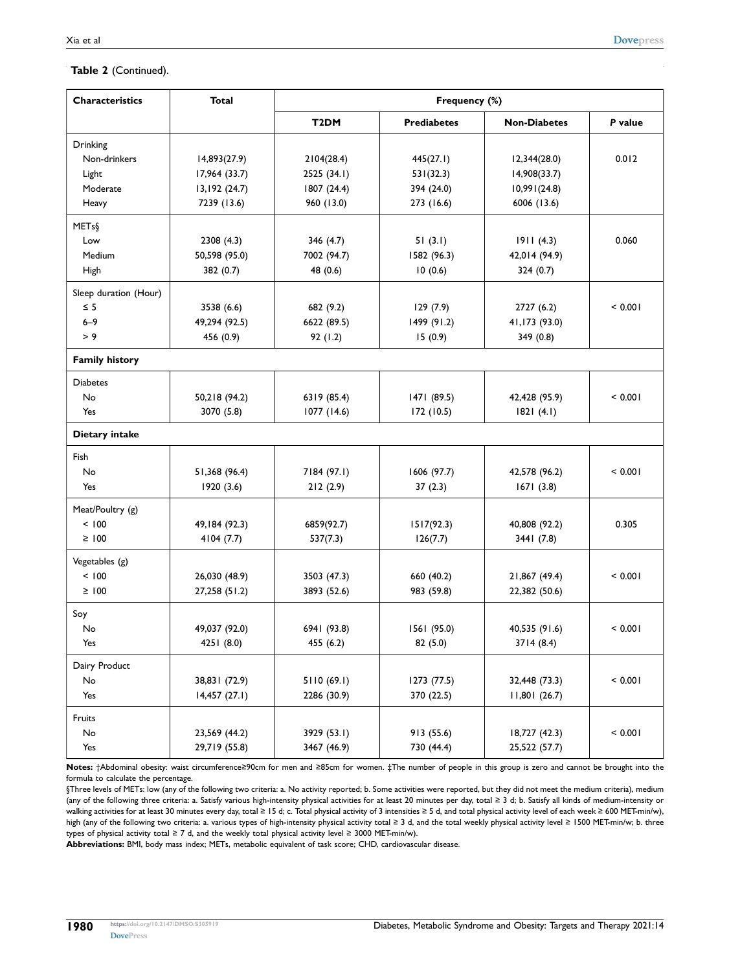| <b>Characteristics</b> | <b>Total</b>   | Frequency (%)     |                    |                     |         |
|------------------------|----------------|-------------------|--------------------|---------------------|---------|
|                        |                | T <sub>2</sub> DM | <b>Prediabetes</b> | <b>Non-Diabetes</b> | P value |
| Drinking               |                |                   |                    |                     |         |
| Non-drinkers           | 14,893(27.9)   | 2104(28.4)        | 445(27.1)          | 12,344(28.0)        | 0.012   |
| Light                  | 17,964 (33.7)  | 2525 (34.1)       | 531(32.3)          | 14,908(33.7)        |         |
| Moderate               | 13,192 (24.7)  | 1807 (24.4)       | 394 (24.0)         | 10,991(24.8)        |         |
| Heavy                  | 7239 (13.6)    | 960 (13.0)        | 273 (16.6)         | 6006 (13.6)         |         |
| METs§                  |                |                   |                    |                     |         |
| Low                    | 2308(4.3)      | 346(4.7)          | 51(3.1)            | 1911(4.3)           | 0.060   |
| Medium                 | 50,598 (95.0)  | 7002 (94.7)       | 1582 (96.3)        | 42,014 (94.9)       |         |
| High                   | 382 (0.7)      | 48 (0.6)          | 10(0.6)            | 324(0.7)            |         |
| Sleep duration (Hour)  |                |                   |                    |                     |         |
| $\leq$ 5               | 3538 (6.6)     | 682 (9.2)         | 129(7.9)           | 2727 (6.2)          | < 0.001 |
| $6 - 9$                | 49,294 (92.5)  | 6622 (89.5)       | 1499 (91.2)        | 41,173 (93.0)       |         |
| > 9                    | 456 (0.9)      | 92(1.2)           | 15(0.9)            | 349 (0.8)           |         |
| <b>Family history</b>  |                |                   |                    |                     |         |
| <b>Diabetes</b>        |                |                   |                    |                     |         |
| No                     | 50,218 (94.2)  | 6319 (85.4)       | 1471 (89.5)        | 42,428 (95.9)       | < 0.001 |
| Yes                    | 3070 (5.8)     | 1077 (14.6)       | 172(10.5)          | 1821(4.1)           |         |
| Dietary intake         |                |                   |                    |                     |         |
| <b>Fish</b>            |                |                   |                    |                     |         |
| No                     | 51,368 (96.4)  | 7184 (97.1)       | 1606 (97.7)        | 42,578 (96.2)       | < 0.001 |
| Yes                    | 1920 (3.6)     | 212(2.9)          | 37(2.3)            | 1671(3.8)           |         |
| Meat/Poultry (g)       |                |                   |                    |                     |         |
| < 100                  | 49, 184 (92.3) | 6859(92.7)        | 1517(92.3)         | 40,808 (92.2)       | 0.305   |
| $\geq 100$             | 4104(7.7)      | 537(7.3)          | 126(7.7)           | 3441 (7.8)          |         |
| Vegetables (g)         |                |                   |                    |                     |         |
| < 100                  | 26,030 (48.9)  | 3503 (47.3)       | 660 (40.2)         | 21,867 (49.4)       | < 0.001 |
| $\geq 100$             | 27,258 (51.2)  | 3893 (52.6)       | 983 (59.8)         | 22,382 (50.6)       |         |
| Soy                    |                |                   |                    |                     |         |
| No                     | 49,037 (92.0)  | 6941 (93.8)       | 1561 (95.0)        | 40,535 (91.6)       | < 0.001 |
| Yes                    | 4251 (8.0)     | 455 (6.2)         | 82 (5.0)           | 3714(8.4)           |         |
| Dairy Product          |                |                   |                    |                     |         |
| No                     | 38,831 (72.9)  | 5110(69.1)        | 1273 (77.5)        | 32,448 (73.3)       | < 0.001 |
| Yes                    | 14,457(27.1)   | 2286 (30.9)       | 370 (22.5)         | 11,801(26.7)        |         |
| Fruits                 |                |                   |                    |                     |         |
| No                     | 23,569 (44.2)  | 3929 (53.1)       | 913 (55.6)         | 18,727 (42.3)       | < 0.001 |
| Yes                    | 29,719 (55.8)  | 3467 (46.9)       | 730 (44.4)         | 25,522 (57.7)       |         |

**Notes:** †Abdominal obesity: waist circumference≥90cm for men and ≥85cm for women. ‡The number of people in this group is zero and cannot be brought into the formula to calculate the percentage.

§Three levels of METs: low (any of the following two criteria: a. No activity reported; b. Some activities were reported, but they did not meet the medium criteria), medium (any of the following three criteria: a. Satisfy various high-intensity physical activities for at least 20 minutes per day, total ≥ 3 d; b. Satisfy all kinds of medium-intensity or walking activities for at least 30 minutes every day, total ≥ 15 d; c. Total physical activity of 3 intensities ≥ 5 d, and total physical activity level of each week ≥ 600 MET-min/w), high (any of the following two criteria: a. various types of high-intensity physical activity total ≥ 3 d, and the total weekly physical activity level ≥ 1500 MET-min/w; b. three types of physical activity total ≥ 7 d, and the weekly total physical activity level ≥ 3000 MET-min/w).

**Abbreviations:** BMI, body mass index; METs, metabolic equivalent of task score; CHD, cardiovascular disease.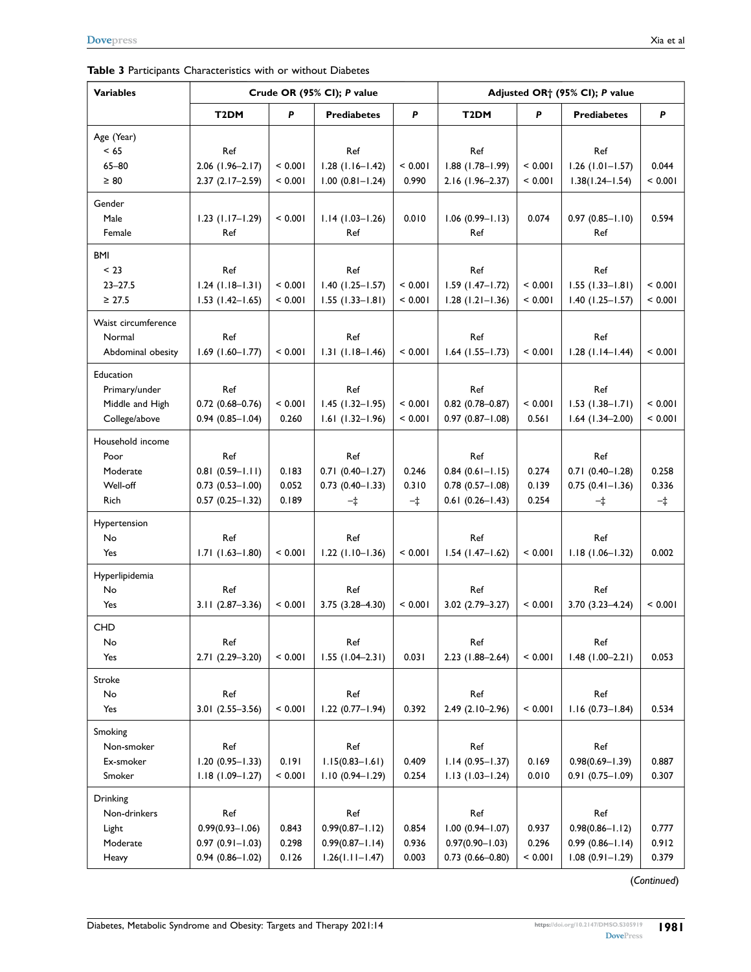<span id="page-6-0"></span>

| Table 3 Participants Characteristics with or without Diabetes |  |  |  |  |
|---------------------------------------------------------------|--|--|--|--|
|---------------------------------------------------------------|--|--|--|--|

| <b>Variables</b>    | Crude OR (95% CI); P value |         |                        |         | Adjusted OR <sup>+</sup> (95% CI); P value |         |                          |             |
|---------------------|----------------------------|---------|------------------------|---------|--------------------------------------------|---------|--------------------------|-------------|
|                     | T <sub>2</sub> DM          | P       | <b>Prediabetes</b>     | P       | T <sub>2</sub> DM                          | P       | <b>Prediabetes</b>       | P           |
| Age (Year)          |                            |         |                        |         |                                            |         |                          |             |
| < 65                | Ref                        |         | Ref                    |         | Ref                                        |         | Ref                      |             |
| $65 - 80$           | $2.06$ (1.96-2.17)         | < 0.001 | $1.28$ (1.16-1.42)     | < 0.001 | $1.88$ (1.78-1.99)                         | < 0.001 | $1.26$ ( $1.01 - 1.57$ ) | 0.044       |
| $\geq 80$           | $2.37(2.17-2.59)$          | < 0.001 | $1.00 (0.81 - 1.24)$   | 0.990   | 2.16 (1.96-2.37)                           | < 0.001 | $1.38(1.24 - 1.54)$      | < 0.001     |
| Gender              |                            |         |                        |         |                                            |         |                          |             |
| Male                | $1.23$ (1.17-1.29)         | < 0.001 | $1.14(1.03 - 1.26)$    | 0.010   | $1.06(0.99 - 1.13)$                        | 0.074   | $0.97(0.85 - 1.10)$      | 0.594       |
| Female              | Ref                        |         | Ref                    |         | Ref                                        |         | Ref                      |             |
| <b>BMI</b>          |                            |         |                        |         |                                            |         |                          |             |
| < 23                | Ref                        |         | Ref                    |         | Ref                                        |         | Ref                      |             |
| $23 - 27.5$         | $1.24$ (1.18-1.31)         | < 0.001 | $1.40(1.25 - 1.57)$    | < 0.001 | $1.59$ (1.47-1.72)                         | < 0.001 | $1.55(1.33 - 1.81)$      | < 0.001     |
| $\geq 27.5$         | $1.53$ (1.42-1.65)         | < 0.001 | $1.55(1.33 - 1.81)$    | < 0.001 | $1.28$ (1.21-1.36)                         | < 0.001 | $1.40$ (1.25-1.57)       | < 0.001     |
| Waist circumference |                            |         |                        |         |                                            |         |                          |             |
| Normal              | Ref                        |         | Ref                    |         | Ref                                        |         | Ref                      |             |
| Abdominal obesity   | $1.69$ (1.60-1.77)         | < 0.001 | $1.31(1.18 - 1.46)$    | < 0.001 | $1.64$ (1.55-1.73)                         | < 0.001 | $1.28$ (1.14-1.44)       | < 0.001     |
| Education           |                            |         |                        |         |                                            |         |                          |             |
| Primary/under       | Ref                        |         | Ref                    |         | Ref                                        |         | Ref                      |             |
| Middle and High     | $0.72$ $(0.68 - 0.76)$     | < 0.001 | $1.45$ (1.32-1.95)     | < 0.001 | $0.82$ (0.78-0.87)                         | < 0.001 | $1.53(1.38 - 1.71)$      | < 0.001     |
| College/above       | $0.94$ $(0.85 - 1.04)$     | 0.260   | $1.61(1.32 - 1.96)$    | < 0.001 | $0.97(0.87 - 1.08)$                        | 0.561   | $1.64$ (1.34-2.00)       | < 0.001     |
| Household income    |                            |         |                        |         |                                            |         |                          |             |
| Poor                | Ref                        |         | Ref                    |         | Ref                                        |         | Ref                      |             |
| Moderate            | $0.81(0.59 - 1.11)$        | 0.183   | $0.71(0.40 - 1.27)$    | 0.246   | $0.84$ (0.61-1.15)                         | 0.274   | $0.71(0.40 - 1.28)$      | 0.258       |
| Well-off            | $0.73(0.53 - 1.00)$        | 0.052   | $0.73$ $(0.40 - 1.33)$ | 0.310   | $0.78$ $(0.57 - 1.08)$                     | 0.139   | $0.75(0.41 - 1.36)$      | 0.336       |
| Rich                | $0.57(0.25 - 1.32)$        | 0.189   | $-1$                   | $-\pm$  | $0.61 (0.26 - 1.43)$                       | 0.254   | $-\ddagger$              | $-\ddagger$ |
| Hypertension        |                            |         |                        |         |                                            |         |                          |             |
| No                  | Ref                        |         | Ref                    |         | Ref                                        |         | Ref                      |             |
| Yes                 | $1.71(1.63 - 1.80)$        | < 0.001 | $1.22$ (1.10-1.36)     | < 0.001 | $1.54$ (1.47-1.62)                         | < 0.001 | $1.18(1.06 - 1.32)$      | 0.002       |
| Hyperlipidemia      |                            |         |                        |         |                                            |         |                          |             |
| No                  | Ref                        |         | Ref                    |         | Ref                                        |         | Ref                      |             |
| Yes                 | $3.11(2.87 - 3.36)$        | < 0.001 | 3.75 (3.28-4.30)       | < 0.001 | $3.02$ $(2.79 - 3.27)$                     | < 0.001 | $3.70(3.23 - 4.24)$      | < 0.001     |
| <b>CHD</b>          |                            |         |                        |         |                                            |         |                          |             |
| No                  | Ref                        |         | Ref                    |         | Ref                                        |         | Ref                      |             |
| Yes                 | 2.71 (2.29-3.20)           | < 0.001 | $1.55(1.04-2.31)$      | 0.031   | 2.23 (1.88-2.64)                           | < 0.001 | $1.48$ (1.00-2.21)       | 0.053       |
|                     |                            |         |                        |         |                                            |         |                          |             |
| Stroke              |                            |         |                        |         |                                            |         |                          |             |
| No                  | Ref                        |         | Ref                    |         | Ref                                        |         | Ref                      |             |
| Yes                 | $3.01(2.55 - 3.56)$        | < 0.001 | $1.22$ (0.77-1.94)     | 0.392   | 2.49 (2.10-2.96)                           | < 0.001 | $1.16(0.73 - 1.84)$      | 0.534       |
| Smoking             |                            |         |                        |         |                                            |         |                          |             |
| Non-smoker          | Ref                        |         | Ref                    |         | Ref                                        |         | Ref                      |             |
| Ex-smoker           | $1.20(0.95 - 1.33)$        | 0.191   | $1.15(0.83 - 1.61)$    | 0.409   | $1.14(0.95 - 1.37)$                        | 0.169   | $0.98(0.69 - 1.39)$      | 0.887       |
| Smoker              | $1.18(1.09 - 1.27)$        | < 0.001 | $1.10(0.94 - 1.29)$    | 0.254   | $1.13(1.03 - 1.24)$                        | 0.010   | $0.91(0.75 - 1.09)$      | 0.307       |
| Drinking            |                            |         |                        |         |                                            |         |                          |             |
| Non-drinkers        | Ref                        |         | Ref                    |         | Ref                                        |         | Ref                      |             |
| Light               | $0.99(0.93 - 1.06)$        | 0.843   | $0.99(0.87 - 1.12)$    | 0.854   | $1.00$ $(0.94 - 1.07)$                     | 0.937   | $0.98(0.86 - 1.12)$      | 0.777       |
| Moderate            | $0.97(0.91 - 1.03)$        | 0.298   | $0.99(0.87 - 1.14)$    | 0.936   | $0.97(0.90 - 1.03)$                        | 0.296   | $0.99(0.86 - 1.14)$      | 0.912       |
| Heavy               | $0.94(0.86 - 1.02)$        | 0.126   | $1.26(1.11 - 1.47)$    | 0.003   | $0.73$ $(0.66 - 0.80)$                     | < 0.001 | $1.08(0.91 - 1.29)$      | 0.379       |

(*Continued*)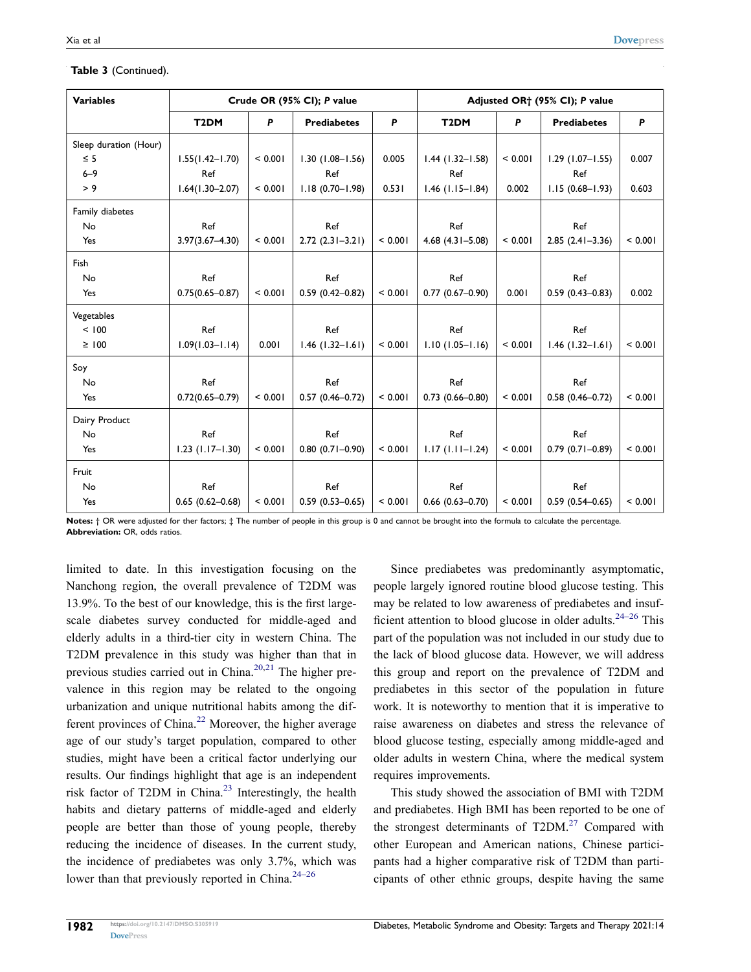| <b>Variables</b>      | Crude OR (95% CI); P value |         |                     | Adjusted OR <sup>+</sup> (95% CI); P value |                        |         |                     |         |
|-----------------------|----------------------------|---------|---------------------|--------------------------------------------|------------------------|---------|---------------------|---------|
|                       | T <sub>2</sub> DM          | P       | <b>Prediabetes</b>  | P                                          | T <sub>2</sub> DM      | P       | <b>Prediabetes</b>  | P       |
| Sleep duration (Hour) |                            |         |                     |                                            |                        |         |                     |         |
| $\leq$ 5              | $1.55(1.42 - 1.70)$        | < 0.001 | $1.30(1.08 - 1.56)$ | 0.005                                      | $1.44$ (1.32-1.58)     | < 0.001 | $1.29$ (1.07-1.55)  | 0.007   |
| $6 - 9$               | Ref                        |         | Ref                 |                                            | Ref                    |         | Ref                 |         |
| > 9                   | $1.64(1.30 - 2.07)$        | < 0.001 | $1.18(0.70 - 1.98)$ | 0.531                                      | $1.46$ (1.15-1.84)     | 0.002   | $1.15(0.68 - 1.93)$ | 0.603   |
| Family diabetes       |                            |         |                     |                                            |                        |         |                     |         |
| No                    | Ref                        |         | Ref                 |                                            | Ref                    |         | Ref                 |         |
| Yes                   | $3.97(3.67 - 4.30)$        | < 0.001 | $2.72(2.31 - 3.21)$ | < 0.001                                    | $4.68$ $(4.31 - 5.08)$ | < 0.001 | $2.85(2.41 - 3.36)$ | < 0.001 |
| Fish                  |                            |         |                     |                                            |                        |         |                     |         |
| No                    | Ref                        |         | Ref                 |                                            | Ref                    |         | Ref                 |         |
| Yes                   | $0.75(0.65 - 0.87)$        | < 0.001 | $0.59(0.42 - 0.82)$ | < 0.001                                    | $0.77(0.67 - 0.90)$    | 0.001   | $0.59(0.43 - 0.83)$ | 0.002   |
| Vegetables            |                            |         |                     |                                            |                        |         |                     |         |
| < 100                 | Ref                        |         | Ref                 |                                            | Ref                    |         | Ref                 |         |
| $\geq 100$            | $1.09(1.03 - 1.14)$        | 0.001   | $1.46$ (1.32-1.61)  | < 0.001                                    | $1.10(1.05 - 1.16)$    | < 0.001 | $1.46$ (1.32-1.61)  | < 0.001 |
| Soy                   |                            |         |                     |                                            |                        |         |                     |         |
| No                    | Ref                        |         | Ref                 |                                            | Ref                    |         | Ref                 |         |
| Yes                   | $0.72(0.65 - 0.79)$        | < 0.001 | $0.57(0.46 - 0.72)$ | < 0.001                                    | $0.73(0.66 - 0.80)$    | < 0.001 | $0.58(0.46 - 0.72)$ | < 0.001 |
| Dairy Product         |                            |         |                     |                                            |                        |         |                     |         |
| No                    | Ref                        |         | Ref                 |                                            | Ref                    |         | Ref                 |         |
| Yes                   | $1.23$ (1.17-1.30)         | < 0.001 | $0.80(0.71 - 0.90)$ | < 0.001                                    | $1.17(1.11 - 1.24)$    | < 0.001 | $0.79(0.71 - 0.89)$ | < 0.001 |
| Fruit                 |                            |         |                     |                                            |                        |         |                     |         |
| No                    | Ref                        |         | Ref                 |                                            | Ref                    |         | Ref                 |         |
| Yes                   | $0.65(0.62 - 0.68)$        | < 0.001 | $0.59(0.53 - 0.65)$ | < 0.001                                    | $0.66$ $(0.63 - 0.70)$ | < 0.001 | $0.59(0.54 - 0.65)$ | < 0.001 |

#### **Table 3** (Continued).

**Notes:** † OR were adjusted for ther factors; ‡ The number of people in this group is 0 and cannot be brought into the formula to calculate the percentage. **Abbreviation:** OR, odds ratios.

<span id="page-7-2"></span><span id="page-7-1"></span><span id="page-7-0"></span>limited to date. In this investigation focusing on the Nanchong region, the overall prevalence of T2DM was 13.9%. To the best of our knowledge, this is the first largescale diabetes survey conducted for middle-aged and elderly adults in a third-tier city in western China. The T2DM prevalence in this study was higher than that in previous studies carried out in China.<sup>20,21</sup> The higher prevalence in this region may be related to the ongoing urbanization and unique nutritional habits among the different provinces of China.<sup>22</sup> Moreover, the higher average age of our study's target population, compared to other studies, might have been a critical factor underlying our results. Our findings highlight that age is an independent risk factor of T2DM in China. $2<sup>3</sup>$  Interestingly, the health habits and dietary patterns of middle-aged and elderly people are better than those of young people, thereby reducing the incidence of diseases. In the current study, the incidence of prediabetes was only 3.7%, which was lower than that previously reported in China. $24-26$ 

<span id="page-7-3"></span>Since prediabetes was predominantly asymptomatic, people largely ignored routine blood glucose testing. This may be related to low awareness of prediabetes and insufficient attention to blood glucose in older adults.<sup>24–26</sup> This part of the population was not included in our study due to the lack of blood glucose data. However, we will address this group and report on the prevalence of T2DM and prediabetes in this sector of the population in future work. It is noteworthy to mention that it is imperative to raise awareness on diabetes and stress the relevance of blood glucose testing, especially among middle-aged and older adults in western China, where the medical system requires improvements.

<span id="page-7-5"></span><span id="page-7-4"></span>This study showed the association of BMI with T2DM and prediabetes. High BMI has been reported to be one of the strongest determinants of  $T2DM<sup>27</sup>$  $T2DM<sup>27</sup>$  $T2DM<sup>27</sup>$  Compared with other European and American nations, Chinese participants had a higher comparative risk of T2DM than participants of other ethnic groups, despite having the same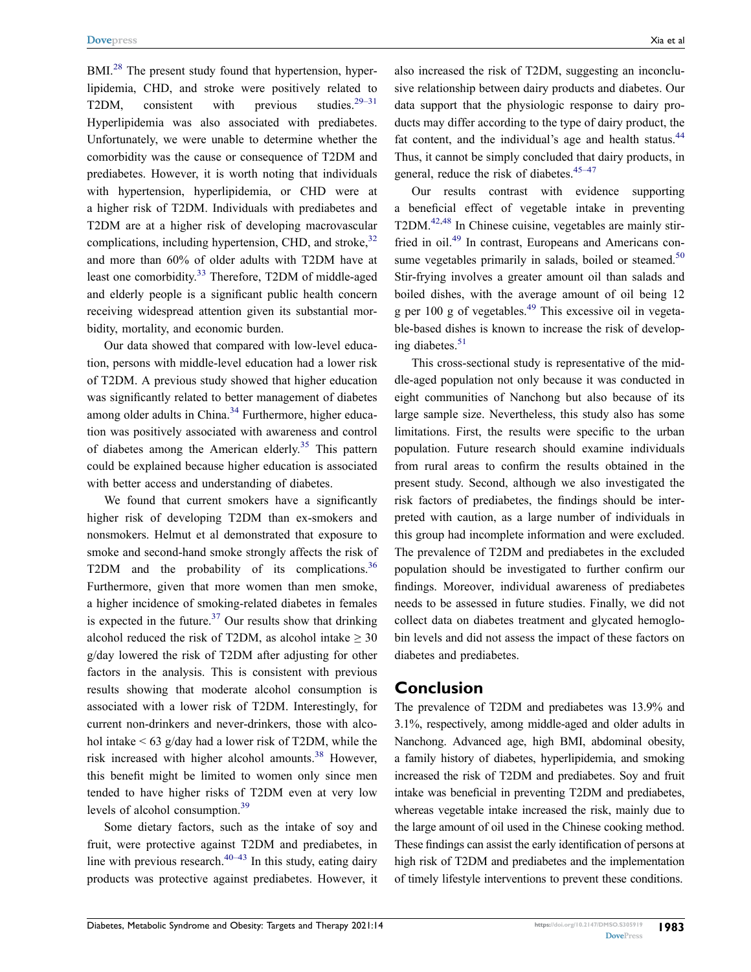<span id="page-8-0"></span>BMI.<sup>28</sup> The present study found that hypertension, hyperlipidemia, CHD, and stroke were positively related to T2DM, consistent with previous studies.<sup>29–31</sup> Hyperlipidemia was also associated with prediabetes. Unfortunately, we were unable to determine whether the comorbidity was the cause or consequence of T2DM and prediabetes. However, it is worth noting that individuals with hypertension, hyperlipidemia, or CHD were at a higher risk of T2DM. Individuals with prediabetes and T2DM are at a higher risk of developing macrovascular complications, including hypertension, CHD, and stroke, $32$ and more than 60% of older adults with T2DM have at least one comorbidity.<sup>[33](#page-10-1)</sup> Therefore, T2DM of middle-aged and elderly people is a significant public health concern receiving widespread attention given its substantial morbidity, mortality, and economic burden.

<span id="page-8-3"></span><span id="page-8-2"></span><span id="page-8-1"></span>Our data showed that compared with low-level education, persons with middle-level education had a lower risk of T2DM. A previous study showed that higher education was significantly related to better management of diabetes among older adults in China.<sup>34</sup> Furthermore, higher education was positively associated with awareness and control of diabetes among the American elderly.<sup>[35](#page-10-3)</sup> This pattern could be explained because higher education is associated with better access and understanding of diabetes.

<span id="page-8-6"></span><span id="page-8-5"></span><span id="page-8-4"></span>We found that current smokers have a significantly higher risk of developing T2DM than ex-smokers and nonsmokers. Helmut et al demonstrated that exposure to smoke and second-hand smoke strongly affects the risk of T2DM and the probability of its complications.<sup>36</sup> Furthermore, given that more women than men smoke, a higher incidence of smoking-related diabetes in females is expected in the future.<sup>37</sup> Our results show that drinking alcohol reduced the risk of T2DM, as alcohol intake  $\geq 30$ g/day lowered the risk of T2DM after adjusting for other factors in the analysis. This is consistent with previous results showing that moderate alcohol consumption is associated with a lower risk of T2DM. Interestingly, for current non-drinkers and never-drinkers, those with alcohol intake  $\leq 63$  g/day had a lower risk of T2DM, while the risk increased with higher alcohol amounts.<sup>[38](#page-10-6)</sup> However, this benefit might be limited to women only since men tended to have higher risks of T2DM even at very low levels of alcohol consumption[.39](#page-10-7)

<span id="page-8-8"></span><span id="page-8-7"></span>Some dietary factors, such as the intake of soy and fruit, were protective against T2DM and prediabetes, in line with previous research.<sup>40–43</sup> In this study, eating dairy products was protective against prediabetes. However, it also increased the risk of T2DM, suggesting an inconclusive relationship between dairy products and diabetes. Our data support that the physiologic response to dairy products may differ according to the type of dairy product, the fat content, and the individual's age and health status.<sup>[44](#page-10-9)</sup> Thus, it cannot be simply concluded that dairy products, in general, reduce the risk of diabetes.  $45-47$ 

<span id="page-8-13"></span><span id="page-8-11"></span><span id="page-8-10"></span><span id="page-8-9"></span>Our results contrast with evidence supporting a beneficial effect of vegetable intake in preventing T2DM.<sup>42,[48](#page-10-12)</sup> In Chinese cuisine, vegetables are mainly stir-fried in oil.<sup>[49](#page-10-13)</sup> In contrast, Europeans and Americans con-sume vegetables primarily in salads, boiled or steamed.<sup>[50](#page-10-14)</sup> Stir-frying involves a greater amount oil than salads and boiled dishes, with the average amount of oil being 12 g per 100 g of vegetables.<sup>[49](#page-10-13)</sup> This excessive oil in vegetable-based dishes is known to increase the risk of developing diabetes.<sup>51</sup>

<span id="page-8-14"></span><span id="page-8-12"></span>This cross-sectional study is representative of the middle-aged population not only because it was conducted in eight communities of Nanchong but also because of its large sample size. Nevertheless, this study also has some limitations. First, the results were specific to the urban population. Future research should examine individuals from rural areas to confirm the results obtained in the present study. Second, although we also investigated the risk factors of prediabetes, the findings should be interpreted with caution, as a large number of individuals in this group had incomplete information and were excluded. The prevalence of T2DM and prediabetes in the excluded population should be investigated to further confirm our findings. Moreover, individual awareness of prediabetes needs to be assessed in future studies. Finally, we did not collect data on diabetes treatment and glycated hemoglobin levels and did not assess the impact of these factors on diabetes and prediabetes.

#### **Conclusion**

The prevalence of T2DM and prediabetes was 13.9% and 3.1%, respectively, among middle-aged and older adults in Nanchong. Advanced age, high BMI, abdominal obesity, a family history of diabetes, hyperlipidemia, and smoking increased the risk of T2DM and prediabetes. Soy and fruit intake was beneficial in preventing T2DM and prediabetes, whereas vegetable intake increased the risk, mainly due to the large amount of oil used in the Chinese cooking method. These findings can assist the early identification of persons at high risk of T2DM and prediabetes and the implementation of timely lifestyle interventions to prevent these conditions.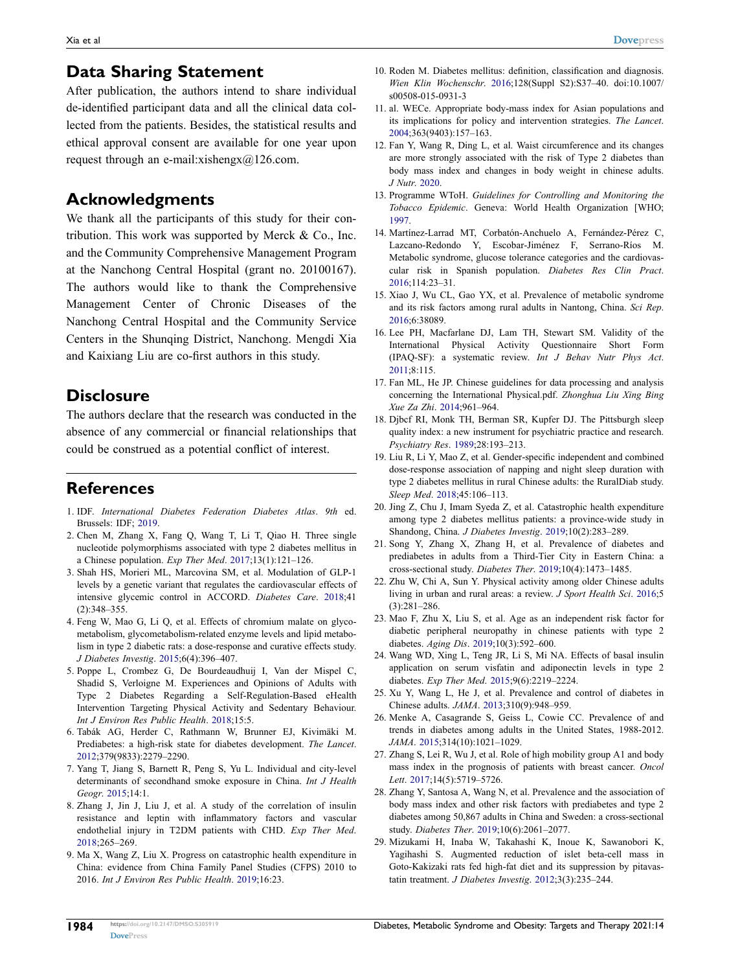# **Data Sharing Statement**

After publication, the authors intend to share individual de-identified participant data and all the clinical data collected from the patients. Besides, the statistical results and ethical approval consent are available for one year upon request through an e-mail:xishengx@126.com.

#### **Acknowledgments**

We thank all the participants of this study for their contribution. This work was supported by Merck & Co., Inc. and the Community Comprehensive Management Program at the Nanchong Central Hospital (grant no. 20100167). The authors would like to thank the Comprehensive Management Center of Chronic Diseases of the Nanchong Central Hospital and the Community Service Centers in the Shunqing District, Nanchong. Mengdi Xia and Kaixiang Liu are co-first authors in this study.

#### **Disclosure**

The authors declare that the research was conducted in the absence of any commercial or financial relationships that could be construed as a potential conflict of interest.

# **References**

- <span id="page-9-0"></span>1. IDF. *International Diabetes Federation Diabetes Atlas*. *9th* ed. Brussels: IDF; [2019](#page-0-2).
- <span id="page-9-1"></span>2. Chen M, Zhang X, Fang Q, Wang T, Li T, Qiao H. Three single nucleotide polymorphisms associated with type 2 diabetes mellitus in a Chinese population. *Exp Ther Med*. [2017;](#page-0-3)13(1):121–126.
- <span id="page-9-2"></span>3. Shah HS, Morieri ML, Marcovina SM, et al. Modulation of GLP-1 levels by a genetic variant that regulates the cardiovascular effects of intensive glycemic control in ACCORD. *Diabetes Care*. [2018](#page-0-4);41 (2):348–355.
- <span id="page-9-3"></span>4. Feng W, Mao G, Li Q, et al. Effects of chromium malate on glycometabolism, glycometabolism-related enzyme levels and lipid metabolism in type 2 diabetic rats: a dose-response and curative effects study. *J Diabetes Investig*. [2015;](#page-0-5)6(4):396–407.
- <span id="page-9-4"></span>5. Poppe L, Crombez G, De Bourdeaudhuij I, Van der Mispel C, Shadid S, Verloigne M. Experiences and Opinions of Adults with Type 2 Diabetes Regarding a Self-Regulation-Based eHealth Intervention Targeting Physical Activity and Sedentary Behaviour. *Int J Environ Res Public Health*. [2018;](#page-0-6)15:5.
- <span id="page-9-5"></span>6. Tabák AG, Herder C, Rathmann W, Brunner EJ, Kivimäki M. Prediabetes: a high-risk state for diabetes development. *The Lancet*. [2012;](#page-1-0)379(9833):2279–2290.
- <span id="page-9-6"></span>7. Yang T, Jiang S, Barnett R, Peng S, Yu L. Individual and city-level determinants of secondhand smoke exposure in China. *Int J Health Geogr*. [2015](#page-1-1);14:1.
- <span id="page-9-7"></span>8. Zhang J, Jin J, Liu J, et al. A study of the correlation of insulin resistance and leptin with inflammatory factors and vascular endothelial injury in T2DM patients with CHD. *Exp Ther Med*. [2018](#page-1-2);265–269.
- <span id="page-9-8"></span>9. Ma X, Wang Z, Liu X. Progress on catastrophic health expenditure in China: evidence from China Family Panel Studies (CFPS) 2010 to 2016. *Int J Environ Res Public Health*. [2019](#page-1-3);16:23.
- <span id="page-9-9"></span>10. Roden M. Diabetes mellitus: definition, classification and diagnosis. *Wien Klin Wochenschr*. [2016;](#page-1-4)128(Suppl S2):S37–40. doi:[10.1007/](https://doi.org/10.1007/s00508-015-0931-3) [s00508-015-0931-3](https://doi.org/10.1007/s00508-015-0931-3)
- <span id="page-9-10"></span>11. al. WECe. Appropriate body-mass index for Asian populations and its implications for policy and intervention strategies. *The Lancet*. [2004](#page-1-5);363(9403):157–163.
- <span id="page-9-11"></span>12. Fan Y, Wang R, Ding L, et al. Waist circumference and its changes are more strongly associated with the risk of Type 2 diabetes than body mass index and changes in body weight in chinese adults. *J Nutr*. [2020](#page-1-6).
- <span id="page-9-12"></span>13. Programme WToH. *Guidelines for Controlling and Monitoring the Tobacco Epidemic*. Geneva: World Health Organization [WHO; [1997](#page-2-1).
- <span id="page-9-13"></span>14. Martínez-Larrad MT, Corbatón-Anchuelo A, Fernández-Pérez C, Lazcano-Redondo Y, Escobar-Jiménez F, Serrano-Ríos M. Metabolic syndrome, glucose tolerance categories and the cardiovascular risk in Spanish population. *Diabetes Res Clin Pract*. [2016](#page-2-2);114:23–31.
- <span id="page-9-14"></span>15. Xiao J, Wu CL, Gao YX, et al. Prevalence of metabolic syndrome and its risk factors among rural adults in Nantong, China. *Sci Rep*. [2016](#page-2-2);6:38089.
- <span id="page-9-15"></span>16. Lee PH, Macfarlane DJ, Lam TH, Stewart SM. Validity of the International Physical Activity Questionnaire Short Form (IPAQ-SF): a systematic review. *Int J Behav Nutr Phys Act*.  $2011.8:115$  $2011.8:115$
- <span id="page-9-16"></span>17. Fan ML, He JP. Chinese guidelines for data processing and analysis concerning the International Physical.pdf. *Zhonghua Liu Xing Bing Xue Za Zhi*. [2014;](#page-2-4)961–964.
- <span id="page-9-17"></span>18. Djbcf RI, Monk TH, Berman SR, Kupfer DJ. The Pittsburgh sleep quality index: a new instrument for psychiatric practice and research. *Psychiatry Res*. [1989](#page-2-5);28:193–213.
- <span id="page-9-18"></span>19. Liu R, Li Y, Mao Z, et al. Gender-specific independent and combined dose-response association of napping and night sleep duration with type 2 diabetes mellitus in rural Chinese adults: the RuralDiab study. *Sleep Med*. [2018](#page-2-6);45:106–113.
- <span id="page-9-19"></span>20. Jing Z, Chu J, Imam Syeda Z, et al. Catastrophic health expenditure among type 2 diabetes mellitus patients: a province-wide study in Shandong, China. *J Diabetes Investig*. [2019](#page-7-0);10(2):283–289.
- <span id="page-9-20"></span>21. Song Y, Zhang X, Zhang H, et al. Prevalence of diabetes and prediabetes in adults from a Third-Tier City in Eastern China: a cross-sectional study. *Diabetes Ther*. [2019](#page-7-0);10(4):1473–1485.
- <span id="page-9-21"></span>22. Zhu W, Chi A, Sun Y. Physical activity among older Chinese adults living in urban and rural areas: a review. *J Sport Health Sci*. [2016](#page-7-1);5 (3):281–286.
- <span id="page-9-22"></span>23. Mao F, Zhu X, Liu S, et al. Age as an independent risk factor for diabetic peripheral neuropathy in chinese patients with type 2 diabetes. *Aging Dis*. [2019;](#page-7-2)10(3):592–600.
- <span id="page-9-23"></span>24. Wang WD, Xing L, Teng JR, Li S, Mi NA. Effects of basal insulin application on serum visfatin and adiponectin levels in type 2 diabetes. *Exp Ther Med*. [2015;](#page-7-3)9(6):2219–2224.
- 25. Xu Y, Wang L, He J, et al. Prevalence and control of diabetes in Chinese adults. *JAMA*. 2013;310(9):948–959.
- 26. Menke A, Casagrande S, Geiss L, Cowie CC. Prevalence of and trends in diabetes among adults in the United States, 1988-2012. *JAMA*. 2015;314(10):1021–1029.
- <span id="page-9-24"></span>27. Zhang S, Lei R, Wu J, et al. Role of high mobility group A1 and body mass index in the prognosis of patients with breast cancer. *Oncol Lett*. [2017](#page-7-4);14(5):5719–5726.
- <span id="page-9-25"></span>28. Zhang Y, Santosa A, Wang N, et al. Prevalence and the association of body mass index and other risk factors with prediabetes and type 2 diabetes among 50,867 adults in China and Sweden: a cross-sectional study. *Diabetes Ther*. [2019](#page-7-5);10(6):2061–2077.
- <span id="page-9-26"></span>29. Mizukami H, Inaba W, Takahashi K, Inoue K, Sawanobori K, Yagihashi S. Augmented reduction of islet beta-cell mass in Goto-Kakizaki rats fed high-fat diet and its suppression by pitavastatin treatment. *J Diabetes Investig*. [2012](#page-8-0);3(3):235–244.